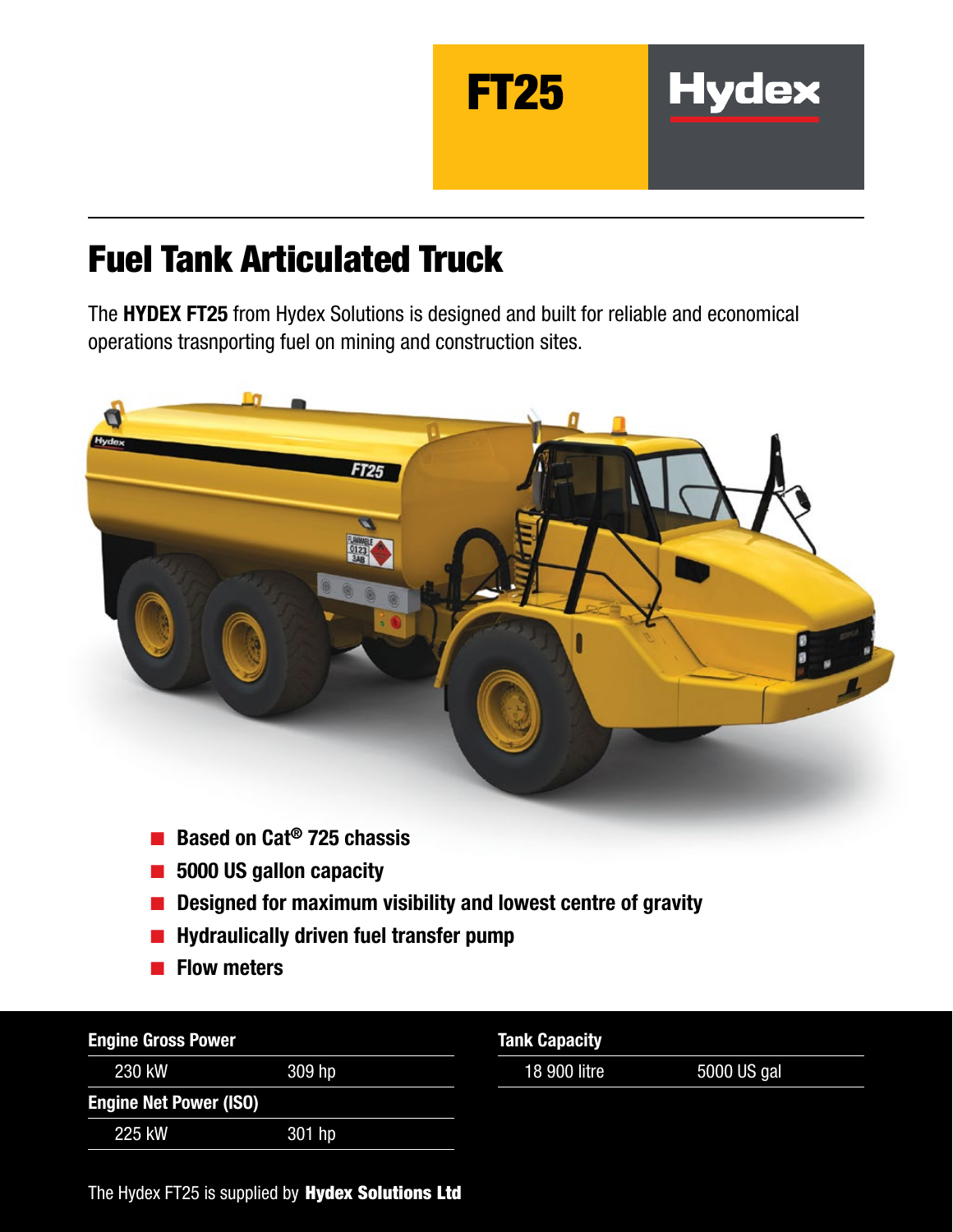

# Fuel Tank Articulated Truck

The HYDEX FT25 from Hydex Solutions is designed and built for reliable and economical operations trasnporting fuel on mining and construction sites.



- Based on Cat<sup>®</sup> 725 chassis
- 5000 US gallon capacity
- Designed for maximum visibility and lowest centre of gravity
- Hydraulically driven fuel transfer pump
- Flow meters

| <b>Engine Gross Power</b>     |        | <b>Tank Capacity</b> |             |
|-------------------------------|--------|----------------------|-------------|
| 230 kW                        | 309 hp | 18 900 litre         | 5000 US gal |
| <b>Engine Net Power (ISO)</b> |        |                      |             |
| 225 kW                        | 301 hp |                      |             |

The Hydex FT25 is supplied by Hydex Solutions Ltd